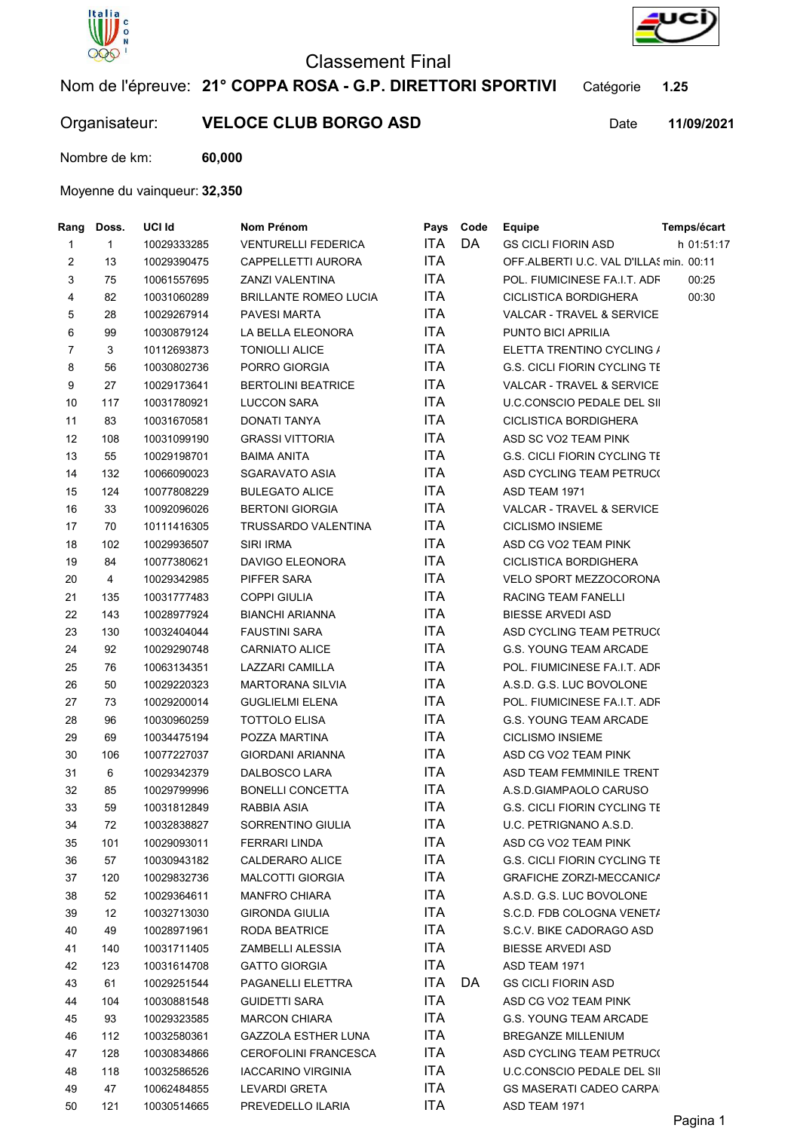

## Classement Final



Nom de l'épreuve: 21° COPPA ROSA - G.P. DIRETTORI SPORTIVI Catégorie 1.25

## Organisateur: VELOCE CLUB BORGO ASD Date

11/09/2021

Nombre de km: 60,000

## Moyenne du vainqueur: 32,350

| Rang           | Doss.        | UCI Id                     | Nom Prénom                                         | Pays       | Code | <b>Equipe</b>                           | Temps/écart |
|----------------|--------------|----------------------------|----------------------------------------------------|------------|------|-----------------------------------------|-------------|
| $\mathbf{1}$   | $\mathbf{1}$ | 10029333285                | <b>VENTURELLI FEDERICA</b>                         | <b>ITA</b> | DA   | <b>GS CICLI FIORIN ASD</b>              | h 01:51:17  |
| $\overline{c}$ | 13           | 10029390475                | CAPPELLETTI AURORA                                 | <b>ITA</b> |      | OFF ALBERTI U.C. VAL D'ILLAS min. 00:11 |             |
| $\mathbf{3}$   | 75           | 10061557695                | ZANZI VALENTINA                                    | <b>ITA</b> |      | POL. FIUMICINESE FA.I.T. ADF            | 00:25       |
| 4              | 82           | 10031060289                | <b>BRILLANTE ROMEO LUCIA</b>                       | <b>ITA</b> |      | <b>CICLISTICA BORDIGHERA</b>            | 00:30       |
| 5              | 28           | 10029267914                | <b>PAVESI MARTA</b>                                | <b>ITA</b> |      | VALCAR - TRAVEL & SERVICE               |             |
| 6              | 99           | 10030879124                | LA BELLA ELEONORA                                  | <b>ITA</b> |      | PUNTO BICI APRILIA                      |             |
| $\overline{7}$ | 3            | 10112693873                | <b>TONIOLLI ALICE</b>                              | <b>ITA</b> |      | ELETTA TRENTINO CYCLING /               |             |
| 8              | 56           | 10030802736                | PORRO GIORGIA                                      | <b>ITA</b> |      | <b>G.S. CICLI FIORIN CYCLING TE</b>     |             |
| 9              | 27           | 10029173641                | <b>BERTOLINI BEATRICE</b>                          | <b>ITA</b> |      | VALCAR - TRAVEL & SERVICE               |             |
| 10             | 117          | 10031780921                | <b>LUCCON SARA</b>                                 | <b>ITA</b> |      | U.C.CONSCIO PEDALE DEL SII              |             |
| 11             | 83           | 10031670581                | <b>DONATI TANYA</b>                                | <b>ITA</b> |      | <b>CICLISTICA BORDIGHERA</b>            |             |
| 12             | 108          | 10031099190                | <b>GRASSI VITTORIA</b>                             | <b>ITA</b> |      | ASD SC VO2 TEAM PINK                    |             |
| 13             | 55           | 10029198701                | BAIMA ANITA                                        | <b>ITA</b> |      | <b>G.S. CICLI FIORIN CYCLING TE</b>     |             |
| 14             | 132          | 10066090023                | SGARAVATO ASIA                                     | <b>ITA</b> |      | ASD CYCLING TEAM PETRUC(                |             |
| 15             | 124          | 10077808229                | <b>BULEGATO ALICE</b>                              | <b>ITA</b> |      | ASD TEAM 1971                           |             |
| 16             | 33           | 10092096026                | <b>BERTONI GIORGIA</b>                             | <b>ITA</b> |      | VALCAR - TRAVEL & SERVICE               |             |
| 17             | 70           | 10111416305                | TRUSSARDO VALENTINA                                | <b>ITA</b> |      | <b>CICLISMO INSIEME</b>                 |             |
| 18             | 102          | 10029936507                | SIRI IRMA                                          | <b>ITA</b> |      | ASD CG VO2 TEAM PINK                    |             |
| 19             | 84           | 10077380621                | DAVIGO ELEONORA                                    | <b>ITA</b> |      | <b>CICLISTICA BORDIGHERA</b>            |             |
| 20             | 4            | 10029342985                | PIFFER SARA                                        | <b>ITA</b> |      | VELO SPORT MEZZOCORONA                  |             |
| 21             | 135          | 10031777483                | <b>COPPI GIULIA</b>                                | <b>ITA</b> |      | RACING TEAM FANELLI                     |             |
| 22             | 143          | 10028977924                | BIANCHI ARIANNA                                    | <b>ITA</b> |      | <b>BIESSE ARVEDI ASD</b>                |             |
| 23             | 130          | 10032404044                | <b>FAUSTINI SARA</b>                               | <b>ITA</b> |      | ASD CYCLING TEAM PETRUC(                |             |
| 24             | 92           | 10029290748                | CARNIATO ALICE                                     | <b>ITA</b> |      | <b>G.S. YOUNG TEAM ARCADE</b>           |             |
| 25             | 76           | 10063134351                | LAZZARI CAMILLA                                    | <b>ITA</b> |      | POL. FIUMICINESE FA.I.T. ADF            |             |
| 26             | 50           | 10029220323                | <b>MARTORANA SILVIA</b>                            | ITA        |      | A.S.D. G.S. LUC BOVOLONE                |             |
| 27             | 73           | 10029200014                | <b>GUGLIELMI ELENA</b>                             | <b>ITA</b> |      | POL. FIUMICINESE FA.I.T. ADF            |             |
| 28             | 96           | 10030960259                | <b>TOTTOLO ELISA</b>                               | <b>ITA</b> |      | <b>G.S. YOUNG TEAM ARCADE</b>           |             |
| 29             | 69           | 10034475194                | POZZA MARTINA                                      | <b>ITA</b> |      | <b>CICLISMO INSIEME</b>                 |             |
| 30             | 106          | 10077227037                | <b>GIORDANI ARIANNA</b>                            | <b>ITA</b> |      | ASD CG VO2 TEAM PINK                    |             |
| 31             | 6            | 10029342379                | DALBOSCO LARA                                      | <b>ITA</b> |      | ASD TEAM FEMMINILE TRENT                |             |
| 32             | 85           | 10029799996                | <b>BONELLI CONCETTA</b>                            | <b>ITA</b> |      | A.S.D.GIAMPAOLO CARUSO                  |             |
| 33             | 59           | 10031812849                | RABBIA ASIA                                        | <b>ITA</b> |      | <b>G.S. CICLI FIORIN CYCLING TE</b>     |             |
| 34             | $72\,$       | 10032838827                | SORRENTINO GIULIA                                  | <b>ITA</b> |      | U.C. PETRIGNANO A.S.D.                  |             |
| 35             | 101          | 10029093011                | FERRARI LINDA                                      | ITA        |      | ASD CG VO2 TEAM PINK                    |             |
| 36             | 57           | 10030943182                | <b>CALDERARO ALICE</b>                             | ITA        |      | <b>G.S. CICLI FIORIN CYCLING TE</b>     |             |
| 37             | 120          | 10029832736                | <b>MALCOTTI GIORGIA</b>                            | ITA        |      | <b>GRAFICHE ZORZI-MECCANICA</b>         |             |
| 38             | 52           | 10029364611                | <b>MANFRO CHIARA</b>                               | ITA        |      | A.S.D. G.S. LUC BOVOLONE                |             |
| 39             | 12           | 10032713030                | <b>GIRONDA GIULIA</b>                              | <b>ITA</b> |      | S.C.D. FDB COLOGNA VENET/               |             |
| 40             | 49           | 10028971961                | RODA BEATRICE                                      | ITA        |      | S.C.V. BIKE CADORAGO ASD                |             |
| 41             | 140          | 10031711405                | ZAMBELLI ALESSIA                                   | ITA        |      | <b>BIESSE ARVEDI ASD</b>                |             |
| 42             | 123          | 10031614708                | <b>GATTO GIORGIA</b>                               | ITA        |      | ASD TEAM 1971                           |             |
| 43             | 61           | 10029251544                | PAGANELLI ELETTRA                                  | ITA        | DA   | <b>GS CICLI FIORIN ASD</b>              |             |
| 44             | 104          | 10030881548                | <b>GUIDETTI SARA</b>                               | ITA        |      | ASD CG VO2 TEAM PINK                    |             |
|                |              |                            |                                                    | ITA        |      | G.S. YOUNG TEAM ARCADE                  |             |
| 45<br>46       | 93<br>112    | 10029323585<br>10032580361 | <b>MARCON CHIARA</b><br><b>GAZZOLA ESTHER LUNA</b> | ITA        |      | BREGANZE MILLENIUM                      |             |
| 47             | 128          | 10030834866                | <b>CEROFOLINI FRANCESCA</b>                        | ITA        |      | ASD CYCLING TEAM PETRUC(                |             |
| 48             | 118          | 10032586526                | <b>IACCARINO VIRGINIA</b>                          | ITA        |      | U.C.CONSCIO PEDALE DEL SII              |             |
| 49             | 47           | 10062484855                | LEVARDI GRETA                                      | ITA        |      | GS MASERATI CADEO CARPA                 |             |
| 50             | 121          | 10030514665                | PREVEDELLO ILARIA                                  | ITA        |      | ASD TEAM 1971                           |             |
|                |              |                            |                                                    |            |      |                                         |             |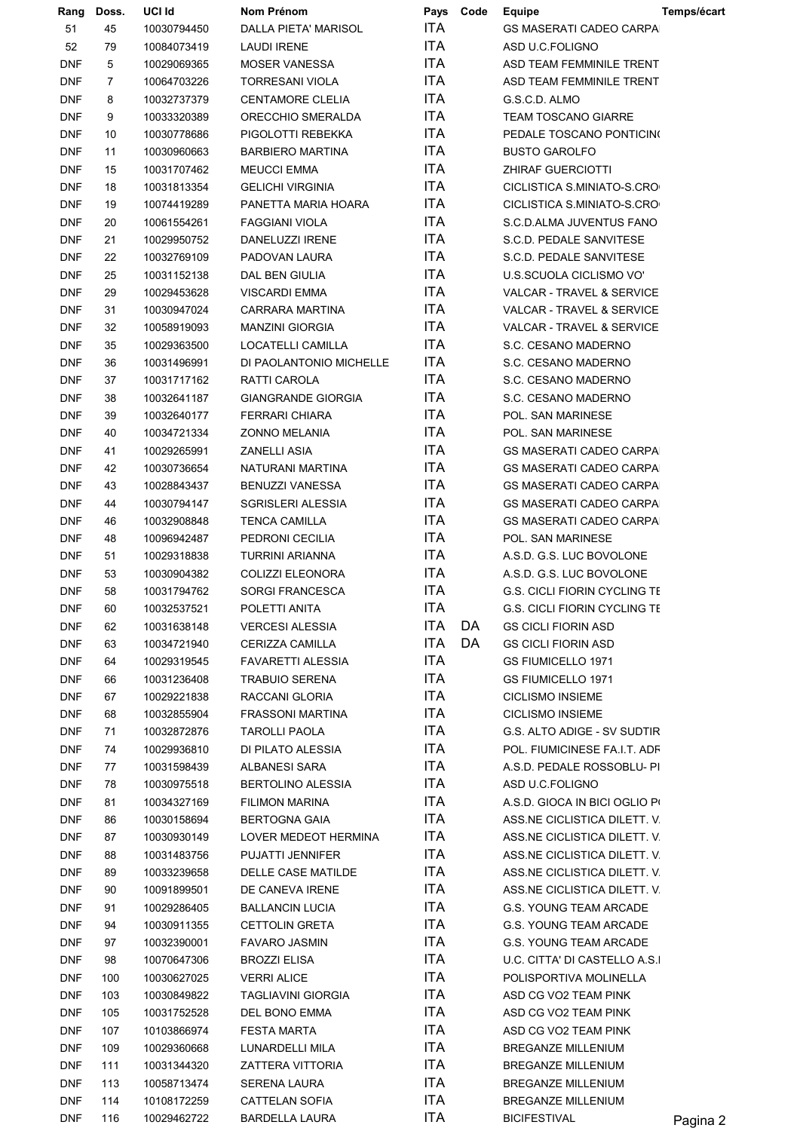| Rang                     | Doss.          | UCI Id                     | Nom Prénom                                    | Pays        | Code | <b>Equipe</b>                                           | Temps/écart |
|--------------------------|----------------|----------------------------|-----------------------------------------------|-------------|------|---------------------------------------------------------|-------------|
| 51                       | 45             | 10030794450                | DALLA PIETA' MARISOL                          | <b>ITA</b>  |      | <b>GS MASERATI CADEO CARPA</b>                          |             |
| 52                       | 79             | 10084073419                | <b>LAUDI IRENE</b>                            | <b>ITA</b>  |      | ASD U.C.FOLIGNO                                         |             |
| <b>DNF</b>               | 5              | 10029069365                | <b>MOSER VANESSA</b>                          | ITA         |      | ASD TEAM FEMMINILE TRENT                                |             |
| <b>DNF</b>               | $\overline{7}$ | 10064703226                | <b>TORRESANI VIOLA</b>                        | ITA         |      | ASD TEAM FEMMINILE TRENT                                |             |
| <b>DNF</b>               | 8              | 10032737379                | <b>CENTAMORE CLELIA</b>                       | ITA         |      | G.S.C.D. ALMO                                           |             |
| <b>DNF</b>               | 9              | 10033320389                | ORECCHIO SMERALDA                             | ITA         |      | <b>TEAM TOSCANO GIARRE</b>                              |             |
| <b>DNF</b>               | 10             | 10030778686                | PIGOLOTTI REBEKKA                             | ITA         |      | PEDALE TOSCANO PONTICINO                                |             |
| <b>DNF</b>               | 11             | 10030960663                | <b>BARBIERO MARTINA</b>                       | <b>ITA</b>  |      | <b>BUSTO GAROLFO</b>                                    |             |
| <b>DNF</b>               | 15             | 10031707462                | <b>MEUCCI EMMA</b>                            | ITA         |      | <b>ZHIRAF GUERCIOTTI</b>                                |             |
| <b>DNF</b>               | 18             | 10031813354                | <b>GELICHI VIRGINIA</b>                       | ITA         |      | CICLISTICA S.MINIATO-S.CRO                              |             |
| $\mathsf{DNF}$           | 19             | 10074419289                | PANETTA MARIA HOARA                           | ITA         |      | CICLISTICA S.MINIATO-S.CRO                              |             |
| <b>DNF</b>               | 20             | 10061554261                | <b>FAGGIANI VIOLA</b>                         | ITA         |      | S.C.D.ALMA JUVENTUS FANO                                |             |
| <b>DNF</b>               | 21             | 10029950752                | DANELUZZI IRENE                               | <b>ITA</b>  |      | S.C.D. PEDALE SANVITESE                                 |             |
| <b>DNF</b>               | 22             | 10032769109                | PADOVAN LAURA                                 | ITA         |      | S.C.D. PEDALE SANVITESE                                 |             |
| <b>DNF</b>               | 25             | 10031152138                | DAL BEN GIULIA                                | ITA         |      | U.S.SCUOLA CICLISMO VO'                                 |             |
| <b>DNF</b>               | 29             | 10029453628                | <b>VISCARDI EMMA</b>                          | ITA         |      | VALCAR - TRAVEL & SERVICE                               |             |
| <b>DNF</b>               | 31             | 10030947024                | CARRARA MARTINA                               | ITA         |      | <b>VALCAR - TRAVEL &amp; SERVICE</b>                    |             |
| <b>DNF</b>               | 32             | 10058919093                | <b>MANZINI GIORGIA</b>                        | <b>ITA</b>  |      | VALCAR - TRAVEL & SERVICE                               |             |
| <b>DNF</b>               | 35             | 10029363500                | LOCATELLI CAMILLA                             | ITA         |      | S.C. CESANO MADERNO                                     |             |
| <b>DNF</b>               | 36             | 10031496991                | DI PAOLANTONIO MICHELLE                       | ITA         |      | S.C. CESANO MADERNO                                     |             |
| <b>DNF</b>               | 37             | 10031717162                | RATTI CAROLA                                  | ITA         |      | S.C. CESANO MADERNO                                     |             |
| <b>DNF</b>               | 38             | 10032641187                | <b>GIANGRANDE GIORGIA</b>                     | ITA         |      | S.C. CESANO MADERNO                                     |             |
| <b>DNF</b>               | 39             | 10032640177                | FERRARI CHIARA                                | ITA         |      | POL. SAN MARINESE                                       |             |
| <b>DNF</b>               | 40             | 10034721334                | <b>ZONNO MELANIA</b>                          | <b>ITA</b>  |      | POL. SAN MARINESE                                       |             |
| <b>DNF</b>               | 41             | 10029265991                | ZANELLI ASIA                                  | ITA         |      | <b>GS MASERATI CADEO CARPA</b>                          |             |
| <b>DNF</b>               | 42             | 10030736654                | NATURANI MARTINA                              | ITA         |      | <b>GS MASERATI CADEO CARPA</b>                          |             |
| <b>DNF</b>               | 43             | 10028843437                | BENUZZI VANESSA                               | ITA         |      | <b>GS MASERATI CADEO CARPA</b>                          |             |
| <b>DNF</b>               | 44             | 10030794147                | SGRISLERI ALESSIA                             | <b>ITA</b>  |      | <b>GS MASERATI CADEO CARPA</b>                          |             |
| <b>DNF</b>               | 46             | 10032908848                | <b>TENCA CAMILLA</b>                          | <b>ITA</b>  |      | <b>GS MASERATI CADEO CARPA</b>                          |             |
| <b>DNF</b>               | 48             | 10096942487                | PEDRONI CECILIA                               | ITA         |      | POL. SAN MARINESE                                       |             |
| <b>DNF</b>               | 51             | 10029318838                | <b>TURRINI ARIANNA</b>                        | ITA         |      | A.S.D. G.S. LUC BOVOLONE                                |             |
| <b>DNF</b>               | 53             | 10030904382                | COLIZZI ELEONORA                              | ITA         |      | A.S.D. G.S. LUC BOVOLONE                                |             |
| <b>DNF</b>               | 58             | 10031794762                | <b>SORGI FRANCESCA</b>                        | <b>ITA</b>  |      | <b>G.S. CICLI FIORIN CYCLING TI</b>                     |             |
| <b>DNF</b>               | 60             | 10032537521                | POLETTI ANITA                                 | <b>ITA</b>  |      | <b>G.S. CICLI FIORIN CYCLING TE</b>                     |             |
| <b>DNF</b>               | 62             | 10031638148                | <b>VERCESI ALESSIA</b>                        | ITA         | DA   | <b>GS CICLI FIORIN ASD</b>                              |             |
| <b>DNF</b>               | 63             | 10034721940                | CERIZZA CAMILLA                               | ITA         | DA   | <b>GS CICLI FIORIN ASD</b>                              |             |
| <b>DNF</b>               | 64             | 10029319545                | <b>FAVARETTI ALESSIA</b>                      | ITA         |      | <b>GS FIUMICELLO 1971</b>                               |             |
| <b>DNF</b>               | 66             | 10031236408                | <b>TRABUIO SERENA</b>                         | ITA         |      | <b>GS FIUMICELLO 1971</b>                               |             |
| <b>DNF</b>               | 67             | 10029221838                | RACCANI GLORIA                                | ITA         |      | <b>CICLISMO INSIEME</b>                                 |             |
| <b>DNF</b>               | 68             | 10032855904                | <b>FRASSONI MARTINA</b>                       | ITA         |      | <b>CICLISMO INSIEME</b>                                 |             |
| <b>DNF</b>               | 71             | 10032872876                | TAROLLI PAOLA                                 | ITA         |      | G.S. ALTO ADIGE - SV SUDTIR                             |             |
| <b>DNF</b>               | 74             | 10029936810                | DI PILATO ALESSIA                             | ITA         |      | POL. FIUMICINESE FA.I.T. ADF                            |             |
| <b>DNF</b>               | 77             | 10031598439                | ALBANESI SARA                                 | ITA         |      | A.S.D. PEDALE ROSSOBLU- PI                              |             |
| <b>DNF</b>               | 78             | 10030975518                | <b>BERTOLINO ALESSIA</b>                      | ITA.        |      | ASD U.C.FOLIGNO                                         |             |
| <b>DNF</b>               | 81             | 10034327169                | <b>FILIMON MARINA</b>                         | ITA         |      | A.S.D. GIOCA IN BICI OGLIO PI                           |             |
| <b>DNF</b>               | 86             | 10030158694                | <b>BERTOGNA GAIA</b>                          | ITA         |      | ASS.NE CICLISTICA DILETT. V                             |             |
| <b>DNF</b>               | 87             | 10030930149                | LOVER MEDEOT HERMINA                          | ITA         |      | ASS.NE CICLISTICA DILETT. V                             |             |
| <b>DNF</b>               | 88             | 10031483756                | PUJATTI JENNIFER                              | ITA         |      | ASS NE CICLISTICA DILETT. V                             |             |
| <b>DNF</b>               | 89             | 10033239658                | DELLE CASE MATILDE                            | ITA         |      | ASS NE CICLISTICA DILETT. V                             |             |
| <b>DNF</b>               | 90             | 10091899501                | DE CANEVA IRENE                               | ITA.<br>ITA |      | ASS.NE CICLISTICA DILETT. V                             |             |
| <b>DNF</b>               | 91             | 10029286405                | <b>BALLANCIN LUCIA</b>                        | ITA         |      | G.S. YOUNG TEAM ARCADE                                  |             |
| <b>DNF</b>               | 94<br>97       | 10030911355                | <b>CETTOLIN GRETA</b><br><b>FAVARO JASMIN</b> | ITA         |      | G.S. YOUNG TEAM ARCADE                                  |             |
| <b>DNF</b><br><b>DNF</b> | 98             | 10032390001<br>10070647306 | BROZZI ELISA                                  | ITA         |      | G.S. YOUNG TEAM ARCADE<br>U.C. CITTA' DI CASTELLO A.S.I |             |
| <b>DNF</b>               | 100            | 10030627025                | VERRI ALICE                                   | ITA.        |      | POLISPORTIVA MOLINELLA                                  |             |
| <b>DNF</b>               | 103            | 10030849822                | TAGLIAVINI GIORGIA                            | ITA         |      | ASD CG VO2 TEAM PINK                                    |             |
| <b>DNF</b>               | 105            | 10031752528                | DEL BONO EMMA                                 | ITA         |      | ASD CG VO2 TEAM PINK                                    |             |
| <b>DNF</b>               | 107            | 10103866974                | <b>FESTA MARTA</b>                            | ITA         |      | ASD CG VO2 TEAM PINK                                    |             |
| <b>DNF</b>               | 109            | 10029360668                | LUNARDELLI MILA                               | ITA         |      | BREGANZE MILLENIUM                                      |             |
| <b>DNF</b>               | 111            | 10031344320                | ZATTERA VITTORIA                              | ITA         |      | <b>BREGANZE MILLENIUM</b>                               |             |
| <b>DNF</b>               | 113            | 10058713474                | SERENA LAURA                                  | ITA         |      | <b>BREGANZE MILLENIUM</b>                               |             |
| <b>DNF</b>               | 114            | 10108172259                | CATTELAN SOFIA                                | ITA         |      | <b>BREGANZE MILLENIUM</b>                               |             |
| <b>DNF</b>               | 116            | 10029462722                | <b>BARDELLA LAURA</b>                         | ITA         |      | <b>BICIFESTIVAL</b>                                     | Pagina 2    |
|                          |                |                            |                                               |             |      |                                                         |             |